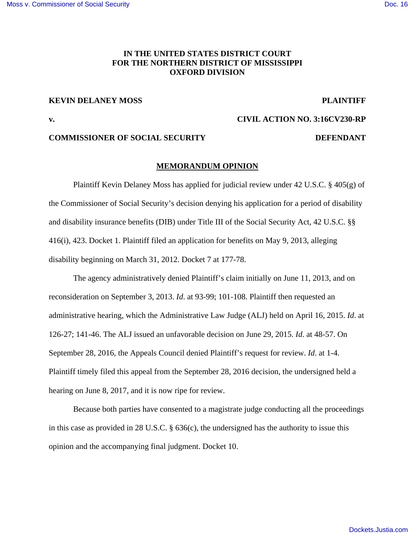# **IN THE UNITED STATES DISTRICT COURT FOR THE NORTHERN DISTRICT OF MISSISSIPPI OXFORD DIVISION**

## **KEVIN DELANEY MOSS PLAINTIFF**

**v. CIVIL ACTION NO. 3:16CV230-RP** 

# **COMMISSIONER OF SOCIAL SECURITY DEFENDANT**

## **MEMORANDUM OPINION**

Plaintiff Kevin Delaney Moss has applied for judicial review under 42 U.S.C.  $\S$  405(g) of the Commissioner of Social Security's decision denying his application for a period of disability and disability insurance benefits (DIB) under Title III of the Social Security Act, 42 U.S.C. §§ 416(i), 423. Docket 1. Plaintiff filed an application for benefits on May 9, 2013, alleging disability beginning on March 31, 2012. Docket 7 at 177-78.

 The agency administratively denied Plaintiff's claim initially on June 11, 2013, and on reconsideration on September 3, 2013. *Id*. at 93-99; 101-108. Plaintiff then requested an administrative hearing, which the Administrative Law Judge (ALJ) held on April 16, 2015. *Id*. at 126-27; 141-46. The ALJ issued an unfavorable decision on June 29, 2015. *Id*. at 48-57. On September 28, 2016, the Appeals Council denied Plaintiff's request for review. *Id*. at 1-4. Plaintiff timely filed this appeal from the September 28, 2016 decision, the undersigned held a hearing on June 8, 2017, and it is now ripe for review.

 Because both parties have consented to a magistrate judge conducting all the proceedings in this case as provided in 28 U.S.C. § 636(c), the undersigned has the authority to issue this opinion and the accompanying final judgment. Docket 10.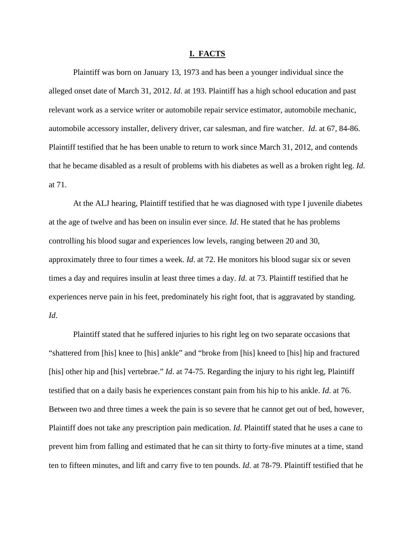### **I. FACTS**

 Plaintiff was born on January 13, 1973 and has been a younger individual since the alleged onset date of March 31, 2012. *Id*. at 193. Plaintiff has a high school education and past relevant work as a service writer or automobile repair service estimator, automobile mechanic, automobile accessory installer, delivery driver, car salesman, and fire watcher. *Id*. at 67, 84-86. Plaintiff testified that he has been unable to return to work since March 31, 2012, and contends that he became disabled as a result of problems with his diabetes as well as a broken right leg. *Id*. at 71.

At the ALJ hearing, Plaintiff testified that he was diagnosed with type I juvenile diabetes at the age of twelve and has been on insulin ever since. *Id*. He stated that he has problems controlling his blood sugar and experiences low levels, ranging between 20 and 30, approximately three to four times a week. *Id*. at 72. He monitors his blood sugar six or seven times a day and requires insulin at least three times a day. *Id*. at 73. Plaintiff testified that he experiences nerve pain in his feet, predominately his right foot, that is aggravated by standing. *Id*.

 Plaintiff stated that he suffered injuries to his right leg on two separate occasions that "shattered from [his] knee to [his] ankle" and "broke from [his] kneed to [his] hip and fractured [his] other hip and [his] vertebrae." *Id.* at 74-75. Regarding the injury to his right leg, Plaintiff testified that on a daily basis he experiences constant pain from his hip to his ankle. *Id*. at 76. Between two and three times a week the pain is so severe that he cannot get out of bed, however, Plaintiff does not take any prescription pain medication. *Id*. Plaintiff stated that he uses a cane to prevent him from falling and estimated that he can sit thirty to forty-five minutes at a time, stand ten to fifteen minutes, and lift and carry five to ten pounds. *Id*. at 78-79. Plaintiff testified that he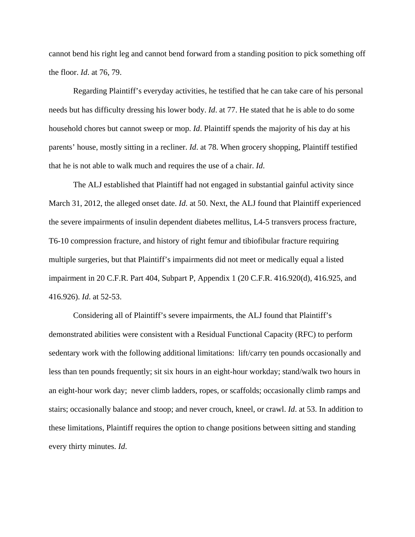cannot bend his right leg and cannot bend forward from a standing position to pick something off the floor. *Id*. at 76, 79.

 Regarding Plaintiff's everyday activities, he testified that he can take care of his personal needs but has difficulty dressing his lower body. *Id*. at 77. He stated that he is able to do some household chores but cannot sweep or mop. *Id*. Plaintiff spends the majority of his day at his parents' house, mostly sitting in a recliner. *Id*. at 78. When grocery shopping, Plaintiff testified that he is not able to walk much and requires the use of a chair. *Id*.

 The ALJ established that Plaintiff had not engaged in substantial gainful activity since March 31, 2012, the alleged onset date. *Id*. at 50. Next, the ALJ found that Plaintiff experienced the severe impairments of insulin dependent diabetes mellitus, L4-5 transvers process fracture, T6-10 compression fracture, and history of right femur and tibiofibular fracture requiring multiple surgeries, but that Plaintiff's impairments did not meet or medically equal a listed impairment in 20 C.F.R. Part 404, Subpart P, Appendix 1 (20 C.F.R. 416.920(d), 416.925, and 416.926). *Id*. at 52-53.

 Considering all of Plaintiff's severe impairments, the ALJ found that Plaintiff's demonstrated abilities were consistent with a Residual Functional Capacity (RFC) to perform sedentary work with the following additional limitations: lift/carry ten pounds occasionally and less than ten pounds frequently; sit six hours in an eight-hour workday; stand/walk two hours in an eight-hour work day; never climb ladders, ropes, or scaffolds; occasionally climb ramps and stairs; occasionally balance and stoop; and never crouch, kneel, or crawl. *Id*. at 53. In addition to these limitations, Plaintiff requires the option to change positions between sitting and standing every thirty minutes. *Id*.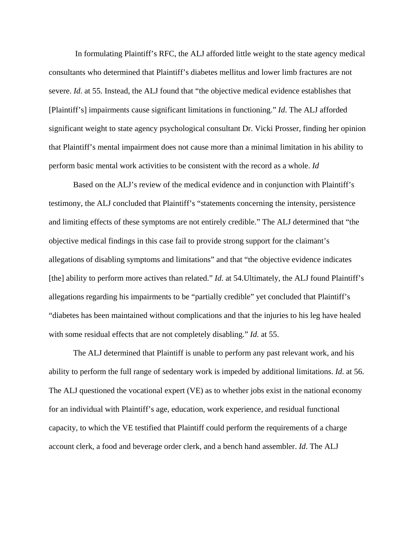In formulating Plaintiff's RFC, the ALJ afforded little weight to the state agency medical consultants who determined that Plaintiff's diabetes mellitus and lower limb fractures are not severe. *Id.* at 55. Instead, the ALJ found that "the objective medical evidence establishes that [Plaintiff's] impairments cause significant limitations in functioning." *Id*. The ALJ afforded significant weight to state agency psychological consultant Dr. Vicki Prosser, finding her opinion that Plaintiff's mental impairment does not cause more than a minimal limitation in his ability to perform basic mental work activities to be consistent with the record as a whole. *Id*

Based on the ALJ's review of the medical evidence and in conjunction with Plaintiff's testimony, the ALJ concluded that Plaintiff's "statements concerning the intensity, persistence and limiting effects of these symptoms are not entirely credible." The ALJ determined that "the objective medical findings in this case fail to provide strong support for the claimant's allegations of disabling symptoms and limitations" and that "the objective evidence indicates [the] ability to perform more actives than related." *Id*. at 54. Ultimately, the ALJ found Plaintiff's allegations regarding his impairments to be "partially credible" yet concluded that Plaintiff's "diabetes has been maintained without complications and that the injuries to his leg have healed with some residual effects that are not completely disabling." *Id*. at 55.

The ALJ determined that Plaintiff is unable to perform any past relevant work, and his ability to perform the full range of sedentary work is impeded by additional limitations. *Id*. at 56. The ALJ questioned the vocational expert (VE) as to whether jobs exist in the national economy for an individual with Plaintiff's age, education, work experience, and residual functional capacity, to which the VE testified that Plaintiff could perform the requirements of a charge account clerk, a food and beverage order clerk, and a bench hand assembler. *Id*. The ALJ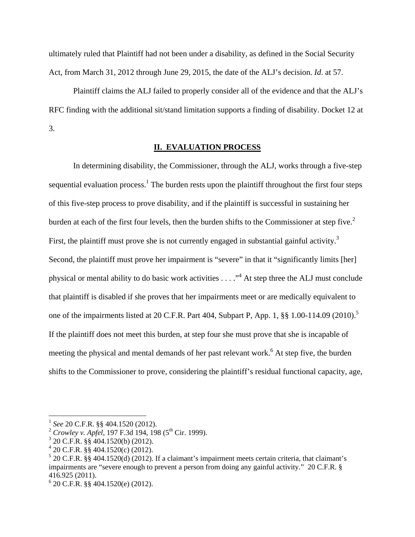ultimately ruled that Plaintiff had not been under a disability, as defined in the Social Security Act, from March 31, 2012 through June 29, 2015, the date of the ALJ's decision. *Id*. at 57.

 Plaintiff claims the ALJ failed to properly consider all of the evidence and that the ALJ's RFC finding with the additional sit/stand limitation supports a finding of disability. Docket 12 at 3.

# **II. EVALUATION PROCESS**

In determining disability, the Commissioner, through the ALJ, works through a five-step sequential evaluation process.<sup>1</sup> The burden rests upon the plaintiff throughout the first four steps of this five-step process to prove disability, and if the plaintiff is successful in sustaining her burden at each of the first four levels, then the burden shifts to the Commissioner at step five.<sup>2</sup> First, the plaintiff must prove she is not currently engaged in substantial gainful activity.<sup>3</sup> Second, the plaintiff must prove her impairment is "severe" in that it "significantly limits [her] physical or mental ability to do basic work activities  $\dots$ ."<sup>4</sup> At step three the ALJ must conclude that plaintiff is disabled if she proves that her impairments meet or are medically equivalent to one of the impairments listed at 20 C.F.R. Part 404, Subpart P, App. 1, §§ 1.00-114.09 (2010).<sup>5</sup> If the plaintiff does not meet this burden, at step four she must prove that she is incapable of meeting the physical and mental demands of her past relevant work.<sup>6</sup> At step five, the burden shifts to the Commissioner to prove, considering the plaintiff's residual functional capacity, age,

<u>.</u>

<sup>1</sup> *See* 20 C.F.R. §§ 404.1520 (2012).

<sup>&</sup>lt;sup>2</sup> Crowley v. Apfel, 197 F.3d 194, 198 (5<sup>th</sup> Cir. 1999).

<sup>3</sup> 20 C.F.R. §§ 404.1520(b) (2012).

 $420$  C.F.R. §§ 404.1520(c) (2012).

 $5$  20 C.F.R. §§ 404.1520(d) (2012). If a claimant's impairment meets certain criteria, that claimant's impairments are "severe enough to prevent a person from doing any gainful activity." 20 C.F.R. § 416.925 (2011).

 $6$  20 C.F.R. §§ 404.1520(e) (2012).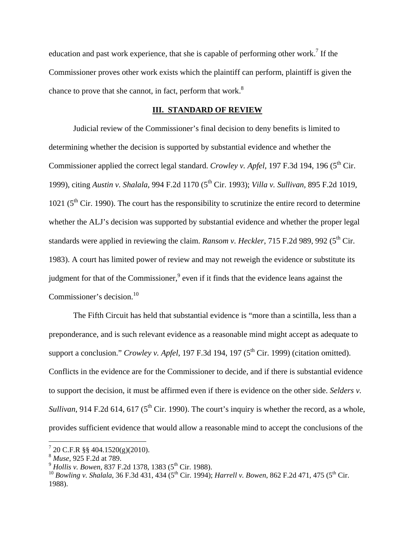education and past work experience, that she is capable of performing other work.<sup>7</sup> If the Commissioner proves other work exists which the plaintiff can perform, plaintiff is given the chance to prove that she cannot, in fact, perform that work. $8$ 

## **III. STANDARD OF REVIEW**

Judicial review of the Commissioner's final decision to deny benefits is limited to determining whether the decision is supported by substantial evidence and whether the Commissioner applied the correct legal standard. *Crowley v. Apfel*, 197 F.3d 194, 196 (5<sup>th</sup> Cir. 1999), citing *Austin v. Shalala*, 994 F.2d 1170 (5th Cir. 1993); *Villa v. Sullivan,* 895 F.2d 1019, 1021 ( $5<sup>th</sup>$  Cir. 1990). The court has the responsibility to scrutinize the entire record to determine whether the ALJ's decision was supported by substantial evidence and whether the proper legal standards were applied in reviewing the claim. *Ransom v. Heckler*, 715 F.2d 989, 992 (5<sup>th</sup> Cir. 1983). A court has limited power of review and may not reweigh the evidence or substitute its judgment for that of the Commissioner, $9$  even if it finds that the evidence leans against the Commissioner's decision.<sup>10</sup>

The Fifth Circuit has held that substantial evidence is "more than a scintilla, less than a preponderance, and is such relevant evidence as a reasonable mind might accept as adequate to support a conclusion." *Crowley v. Apfel*, 197 F.3d 194, 197 (5<sup>th</sup> Cir. 1999) (citation omitted). Conflicts in the evidence are for the Commissioner to decide, and if there is substantial evidence to support the decision, it must be affirmed even if there is evidence on the other side. *Selders v. Sullivan*, 914 F.2d 614, 617 ( $5<sup>th</sup>$  Cir. 1990). The court's inquiry is whether the record, as a whole, provides sufficient evidence that would allow a reasonable mind to accept the conclusions of the

-

 $7$  20 C.F.R §§ 404.1520(g)(2010).

<sup>8</sup> *Muse*, 925 F.2d at 789.

<sup>&</sup>lt;sup>9</sup> *Hollis v. Bowen*, 837 F.2d 1378, 1383 (5<sup>th</sup> Cir. 1988).

<sup>&</sup>lt;sup>10</sup> *Bowling v. Shalala*, 36 F.3d 431, 434 (5<sup>th</sup> Cir. 1994); *Harrell v. Bowen*, 862 F.2d 471, 475 (5<sup>th</sup> Cir. 1988).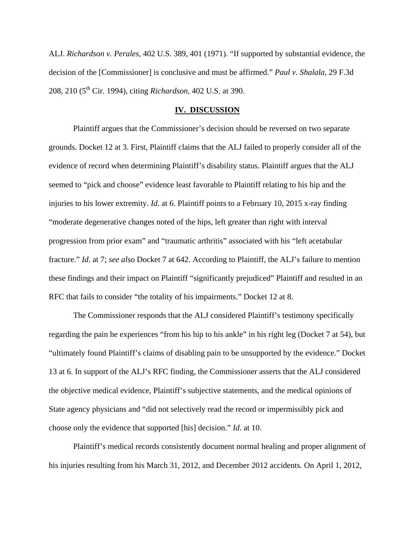ALJ. *Richardson v. Perales*, 402 U.S. 389, 401 (1971). "If supported by substantial evidence, the decision of the [Commissioner] is conclusive and must be affirmed." *Paul v. Shalala,* 29 F.3d 208, 210 (5th Cir. 1994), citing *Richardson,* 402 U.S. at 390.

### **IV. DISCUSSION**

Plaintiff argues that the Commissioner's decision should be reversed on two separate grounds. Docket 12 at 3. First, Plaintiff claims that the ALJ failed to properly consider all of the evidence of record when determining Plaintiff's disability status. Plaintiff argues that the ALJ seemed to "pick and choose" evidence least favorable to Plaintiff relating to his hip and the injuries to his lower extremity. *Id*. at 6. Plaintiff points to a February 10, 2015 x-ray finding "moderate degenerative changes noted of the hips, left greater than right with interval progression from prior exam" and "traumatic arthritis" associated with his "left acetabular fracture." *Id*. at 7; *see also* Docket 7 at 642. According to Plaintiff, the ALJ's failure to mention these findings and their impact on Plaintiff "significantly prejudiced" Plaintiff and resulted in an RFC that fails to consider "the totality of his impairments." Docket 12 at 8.

The Commissioner responds that the ALJ considered Plaintiff's testimony specifically regarding the pain he experiences "from his hip to his ankle" in his right leg (Docket 7 at 54), but "ultimately found Plaintiff's claims of disabling pain to be unsupported by the evidence." Docket 13 at 6. In support of the ALJ's RFC finding, the Commissioner asserts that the ALJ considered the objective medical evidence, Plaintiff's subjective statements, and the medical opinions of State agency physicians and "did not selectively read the record or impermissibly pick and choose only the evidence that supported [his] decision." *Id*. at 10.

Plaintiff's medical records consistently document normal healing and proper alignment of his injuries resulting from his March 31, 2012, and December 2012 accidents. On April 1, 2012,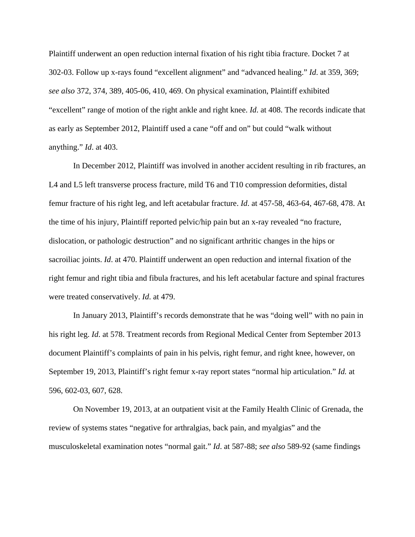Plaintiff underwent an open reduction internal fixation of his right tibia fracture. Docket 7 at 302-03. Follow up x-rays found "excellent alignment" and "advanced healing." *Id*. at 359, 369; *see also* 372, 374, 389, 405-06, 410, 469. On physical examination, Plaintiff exhibited "excellent" range of motion of the right ankle and right knee. *Id*. at 408. The records indicate that as early as September 2012, Plaintiff used a cane "off and on" but could "walk without anything." *Id*. at 403.

In December 2012, Plaintiff was involved in another accident resulting in rib fractures, an L4 and L5 left transverse process fracture, mild T6 and T10 compression deformities, distal femur fracture of his right leg, and left acetabular fracture. *Id*. at 457-58, 463-64, 467-68, 478. At the time of his injury, Plaintiff reported pelvic/hip pain but an x-ray revealed "no fracture, dislocation, or pathologic destruction" and no significant arthritic changes in the hips or sacroiliac joints. *Id*. at 470. Plaintiff underwent an open reduction and internal fixation of the right femur and right tibia and fibula fractures, and his left acetabular facture and spinal fractures were treated conservatively. *Id*. at 479.

In January 2013, Plaintiff's records demonstrate that he was "doing well" with no pain in his right leg. *Id*. at 578. Treatment records from Regional Medical Center from September 2013 document Plaintiff's complaints of pain in his pelvis, right femur, and right knee, however, on September 19, 2013, Plaintiff's right femur x-ray report states "normal hip articulation." *Id.* at 596, 602-03, 607, 628.

On November 19, 2013, at an outpatient visit at the Family Health Clinic of Grenada, the review of systems states "negative for arthralgias, back pain, and myalgias" and the musculoskeletal examination notes "normal gait." *Id*. at 587-88; *see also* 589-92 (same findings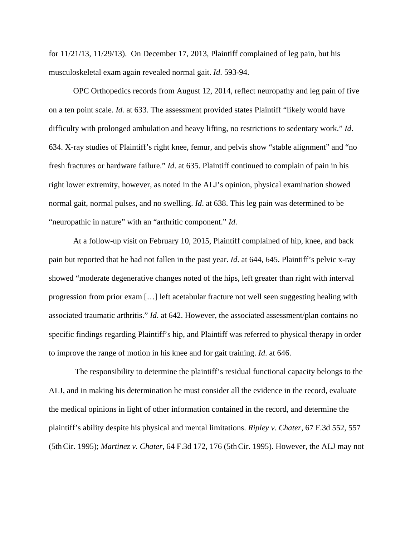for 11/21/13, 11/29/13). On December 17, 2013, Plaintiff complained of leg pain, but his musculoskeletal exam again revealed normal gait. *Id*. 593-94.

OPC Orthopedics records from August 12, 2014, reflect neuropathy and leg pain of five on a ten point scale. *Id.* at 633. The assessment provided states Plaintiff "likely would have difficulty with prolonged ambulation and heavy lifting, no restrictions to sedentary work." *Id*. 634. X-ray studies of Plaintiff's right knee, femur, and pelvis show "stable alignment" and "no fresh fractures or hardware failure." *Id*. at 635. Plaintiff continued to complain of pain in his right lower extremity, however, as noted in the ALJ's opinion, physical examination showed normal gait, normal pulses, and no swelling. *Id*. at 638. This leg pain was determined to be "neuropathic in nature" with an "arthritic component." *Id*.

At a follow-up visit on February 10, 2015, Plaintiff complained of hip, knee, and back pain but reported that he had not fallen in the past year. *Id*. at 644, 645. Plaintiff's pelvic x-ray showed "moderate degenerative changes noted of the hips, left greater than right with interval progression from prior exam […] left acetabular fracture not well seen suggesting healing with associated traumatic arthritis." *Id*. at 642. However, the associated assessment/plan contains no specific findings regarding Plaintiff's hip, and Plaintiff was referred to physical therapy in order to improve the range of motion in his knee and for gait training. *Id*. at 646.

 The responsibility to determine the plaintiff's residual functional capacity belongs to the ALJ, and in making his determination he must consider all the evidence in the record, evaluate the medical opinions in light of other information contained in the record, and determine the plaintiff's ability despite his physical and mental limitations. *Ripley v. Chater*, 67 F.3d 552, 557 (5thCir. 1995); *Martinez v. Chater*, 64 F.3d 172, 176 (5thCir. 1995). However, the ALJ may not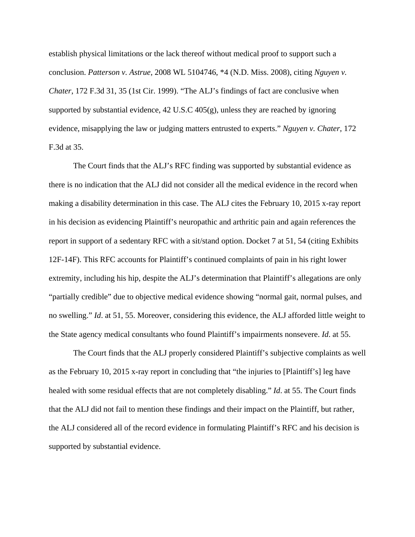establish physical limitations or the lack thereof without medical proof to support such a conclusion. *Patterson v. Astrue*, 2008 WL 5104746, \*4 (N.D. Miss. 2008), citing *Nguyen v. Chater*, 172 F.3d 31, 35 (1st Cir. 1999). "The ALJ's findings of fact are conclusive when supported by substantial evidence, 42 U.S.C 405(g), unless they are reached by ignoring evidence, misapplying the law or judging matters entrusted to experts." *Nguyen v. Chater*, 172 F.3d at 35.

 The Court finds that the ALJ's RFC finding was supported by substantial evidence as there is no indication that the ALJ did not consider all the medical evidence in the record when making a disability determination in this case. The ALJ cites the February 10, 2015 x-ray report in his decision as evidencing Plaintiff's neuropathic and arthritic pain and again references the report in support of a sedentary RFC with a sit/stand option. Docket 7 at 51, 54 (citing Exhibits 12F-14F). This RFC accounts for Plaintiff's continued complaints of pain in his right lower extremity, including his hip, despite the ALJ's determination that Plaintiff's allegations are only "partially credible" due to objective medical evidence showing "normal gait, normal pulses, and no swelling." *Id*. at 51, 55. Moreover, considering this evidence, the ALJ afforded little weight to the State agency medical consultants who found Plaintiff's impairments nonsevere. *Id*. at 55.

The Court finds that the ALJ properly considered Plaintiff's subjective complaints as well as the February 10, 2015 x-ray report in concluding that "the injuries to [Plaintiff's] leg have healed with some residual effects that are not completely disabling." *Id*. at 55. The Court finds that the ALJ did not fail to mention these findings and their impact on the Plaintiff, but rather, the ALJ considered all of the record evidence in formulating Plaintiff's RFC and his decision is supported by substantial evidence.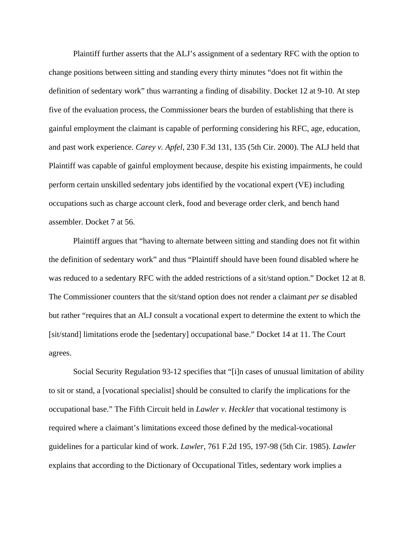Plaintiff further asserts that the ALJ's assignment of a sedentary RFC with the option to change positions between sitting and standing every thirty minutes "does not fit within the definition of sedentary work" thus warranting a finding of disability. Docket 12 at 9-10. At step five of the evaluation process, the Commissioner bears the burden of establishing that there is gainful employment the claimant is capable of performing considering his RFC, age, education, and past work experience. *Carey v. Apfel*, 230 F.3d 131, 135 (5th Cir. 2000). The ALJ held that Plaintiff was capable of gainful employment because, despite his existing impairments, he could perform certain unskilled sedentary jobs identified by the vocational expert (VE) including occupations such as charge account clerk, food and beverage order clerk, and bench hand assembler. Docket 7 at 56.

Plaintiff argues that "having to alternate between sitting and standing does not fit within the definition of sedentary work" and thus "Plaintiff should have been found disabled where he was reduced to a sedentary RFC with the added restrictions of a sit/stand option." Docket 12 at 8. The Commissioner counters that the sit/stand option does not render a claimant *per se* disabled but rather "requires that an ALJ consult a vocational expert to determine the extent to which the [sit/stand] limitations erode the [sedentary] occupational base." Docket 14 at 11. The Court agrees.

Social Security Regulation 93-12 specifies that "[i]n cases of unusual limitation of ability to sit or stand, a [vocational specialist] should be consulted to clarify the implications for the occupational base." The Fifth Circuit held in *Lawler v. Heckler* that vocational testimony is required where a claimant's limitations exceed those defined by the medical-vocational guidelines for a particular kind of work. *Lawler*, 761 F.2d 195, 197-98 (5th Cir. 1985). *Lawler* explains that according to the Dictionary of Occupational Titles, sedentary work implies a